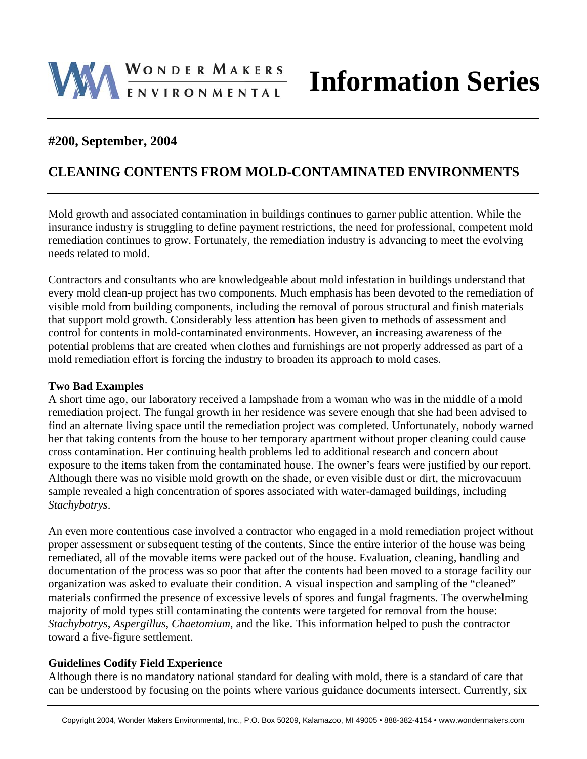# WONDER MAKERS

## **#200, September, 2004**

# **CLEANING CONTENTS FROM MOLD-CONTAMINATED ENVIRONMENTS**

Mold growth and associated contamination in buildings continues to garner public attention. While the insurance industry is struggling to define payment restrictions, the need for professional, competent mold remediation continues to grow. Fortunately, the remediation industry is advancing to meet the evolving needs related to mold.

Contractors and consultants who are knowledgeable about mold infestation in buildings understand that every mold clean-up project has two components. Much emphasis has been devoted to the remediation of visible mold from building components, including the removal of porous structural and finish materials that support mold growth. Considerably less attention has been given to methods of assessment and control for contents in mold-contaminated environments. However, an increasing awareness of the potential problems that are created when clothes and furnishings are not properly addressed as part of a mold remediation effort is forcing the industry to broaden its approach to mold cases.

#### **Two Bad Examples**

A short time ago, our laboratory received a lampshade from a woman who was in the middle of a mold remediation project. The fungal growth in her residence was severe enough that she had been advised to find an alternate living space until the remediation project was completed. Unfortunately, nobody warned her that taking contents from the house to her temporary apartment without proper cleaning could cause cross contamination. Her continuing health problems led to additional research and concern about exposure to the items taken from the contaminated house. The owner's fears were justified by our report. Although there was no visible mold growth on the shade, or even visible dust or dirt, the microvacuum sample revealed a high concentration of spores associated with water-damaged buildings, including *Stachybotrys*.

An even more contentious case involved a contractor who engaged in a mold remediation project without proper assessment or subsequent testing of the contents. Since the entire interior of the house was being remediated, all of the movable items were packed out of the house. Evaluation, cleaning, handling and documentation of the process was so poor that after the contents had been moved to a storage facility our organization was asked to evaluate their condition. A visual inspection and sampling of the "cleaned" materials confirmed the presence of excessive levels of spores and fungal fragments. The overwhelming majority of mold types still contaminating the contents were targeted for removal from the house: *Stachybotrys*, *Aspergillus*, *Chaetomium*, and the like. This information helped to push the contractor toward a five-figure settlement.

#### **Guidelines Codify Field Experience**

Although there is no mandatory national standard for dealing with mold, there is a standard of care that can be understood by focusing on the points where various guidance documents intersect. Currently, six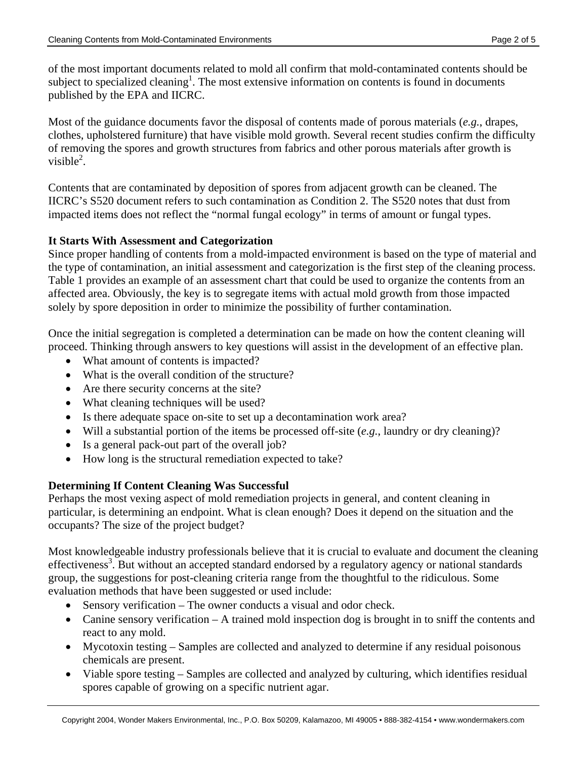of the most important documents related to mold all confirm that mold-contaminated contents should be subject to specialized cleaning<sup>1</sup>. The most extensive information on contents is found in documents published by the EPA and IICRC.

Most of the guidance documents favor the disposal of contents made of porous materials (*e.g.*, drapes, clothes, upholstered furniture) that have visible mold growth. Several recent studies confirm the difficulty of removing the spores and growth structures from fabrics and other porous materials after growth is visible $2$ .

Contents that are contaminated by deposition of spores from adjacent growth can be cleaned. The IICRC's S520 document refers to such contamination as Condition 2. The S520 notes that dust from impacted items does not reflect the "normal fungal ecology" in terms of amount or fungal types.

## **It Starts With Assessment and Categorization**

Since proper handling of contents from a mold-impacted environment is based on the type of material and the type of contamination, an initial assessment and categorization is the first step of the cleaning process. Table 1 provides an example of an assessment chart that could be used to organize the contents from an affected area. Obviously, the key is to segregate items with actual mold growth from those impacted solely by spore deposition in order to minimize the possibility of further contamination.

Once the initial segregation is completed a determination can be made on how the content cleaning will proceed. Thinking through answers to key questions will assist in the development of an effective plan.

- What amount of contents is impacted?
- What is the overall condition of the structure?
- Are there security concerns at the site?
- What cleaning techniques will be used?
- Is there adequate space on-site to set up a decontamination work area?
- Will a substantial portion of the items be processed off-site (*e.g.*, laundry or dry cleaning)?
- Is a general pack-out part of the overall job?
- How long is the structural remediation expected to take?

## **Determining If Content Cleaning Was Successful**

Perhaps the most vexing aspect of mold remediation projects in general, and content cleaning in particular, is determining an endpoint. What is clean enough? Does it depend on the situation and the occupants? The size of the project budget?

Most knowledgeable industry professionals believe that it is crucial to evaluate and document the cleaning effectiveness<sup>3</sup>. But without an accepted standard endorsed by a regulatory agency or national standards group, the suggestions for post-cleaning criteria range from the thoughtful to the ridiculous. Some evaluation methods that have been suggested or used include:

- Sensory verification The owner conducts a visual and odor check.
- Canine sensory verification A trained mold inspection dog is brought in to sniff the contents and react to any mold.
- Mycotoxin testing Samples are collected and analyzed to determine if any residual poisonous chemicals are present.
- Viable spore testing Samples are collected and analyzed by culturing, which identifies residual spores capable of growing on a specific nutrient agar.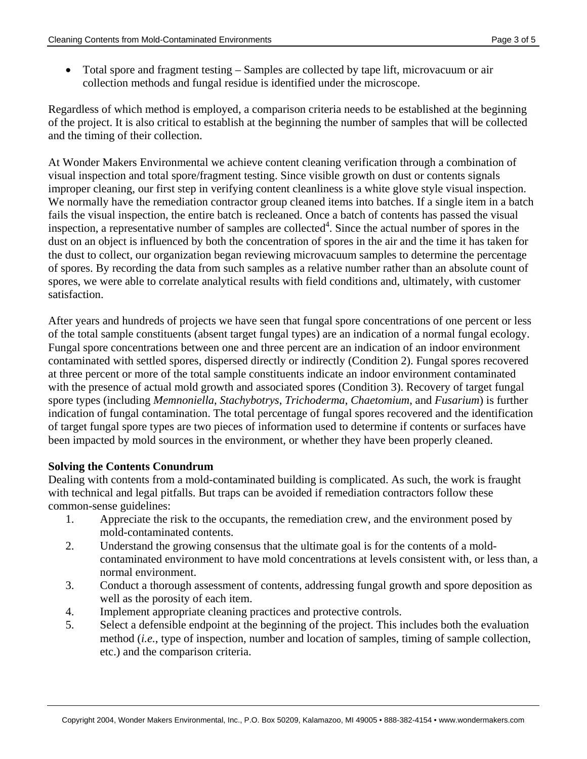• Total spore and fragment testing – Samples are collected by tape lift, microvacuum or air collection methods and fungal residue is identified under the microscope.

Regardless of which method is employed, a comparison criteria needs to be established at the beginning of the project. It is also critical to establish at the beginning the number of samples that will be collected and the timing of their collection.

At Wonder Makers Environmental we achieve content cleaning verification through a combination of visual inspection and total spore/fragment testing. Since visible growth on dust or contents signals improper cleaning, our first step in verifying content cleanliness is a white glove style visual inspection. We normally have the remediation contractor group cleaned items into batches. If a single item in a batch fails the visual inspection, the entire batch is recleaned. Once a batch of contents has passed the visual inspection, a representative number of samples are collected<sup>4</sup>. Since the actual number of spores in the dust on an object is influenced by both the concentration of spores in the air and the time it has taken for the dust to collect, our organization began reviewing microvacuum samples to determine the percentage of spores. By recording the data from such samples as a relative number rather than an absolute count of spores, we were able to correlate analytical results with field conditions and, ultimately, with customer satisfaction.

After years and hundreds of projects we have seen that fungal spore concentrations of one percent or less of the total sample constituents (absent target fungal types) are an indication of a normal fungal ecology. Fungal spore concentrations between one and three percent are an indication of an indoor environment contaminated with settled spores, dispersed directly or indirectly (Condition 2). Fungal spores recovered at three percent or more of the total sample constituents indicate an indoor environment contaminated with the presence of actual mold growth and associated spores (Condition 3). Recovery of target fungal spore types (including *Memnoniella*, *Stachybotrys*, *Trichoderma*, *Chaetomium*, and *Fusarium*) is further indication of fungal contamination. The total percentage of fungal spores recovered and the identification of target fungal spore types are two pieces of information used to determine if contents or surfaces have been impacted by mold sources in the environment, or whether they have been properly cleaned.

#### **Solving the Contents Conundrum**

Dealing with contents from a mold-contaminated building is complicated. As such, the work is fraught with technical and legal pitfalls. But traps can be avoided if remediation contractors follow these common-sense guidelines:

- 1. Appreciate the risk to the occupants, the remediation crew, and the environment posed by mold-contaminated contents.
- 2. Understand the growing consensus that the ultimate goal is for the contents of a moldcontaminated environment to have mold concentrations at levels consistent with, or less than, a normal environment.
- 3. Conduct a thorough assessment of contents, addressing fungal growth and spore deposition as well as the porosity of each item.
- 4. Implement appropriate cleaning practices and protective controls.
- 5. Select a defensible endpoint at the beginning of the project. This includes both the evaluation method (*i.e.*, type of inspection, number and location of samples, timing of sample collection, etc.) and the comparison criteria.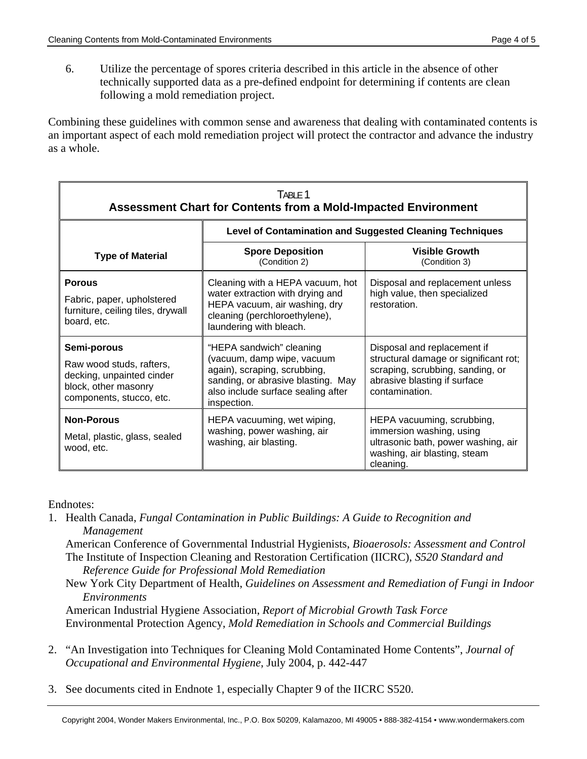6. Utilize the percentage of spores criteria described in this article in the absence of other technically supported data as a pre-defined endpoint for determining if contents are clean following a mold remediation project.

Combining these guidelines with common sense and awareness that dealing with contaminated contents is an important aspect of each mold remediation project will protect the contractor and advance the industry as a whole.

| TABLE 1<br><b>Assessment Chart for Contents from a Mold-Impacted Environment</b>                                         |                                                                                                                                                                                   |                                                                                                                                                            |
|--------------------------------------------------------------------------------------------------------------------------|-----------------------------------------------------------------------------------------------------------------------------------------------------------------------------------|------------------------------------------------------------------------------------------------------------------------------------------------------------|
|                                                                                                                          | <b>Level of Contamination and Suggested Cleaning Techniques</b>                                                                                                                   |                                                                                                                                                            |
| <b>Type of Material</b>                                                                                                  | <b>Spore Deposition</b><br>(Condition 2)                                                                                                                                          | <b>Visible Growth</b><br>(Condition 3)                                                                                                                     |
| <b>Porous</b>                                                                                                            | Cleaning with a HEPA vacuum, hot<br>water extraction with drying and                                                                                                              | Disposal and replacement unless<br>high value, then specialized                                                                                            |
| Fabric, paper, upholstered<br>furniture, ceiling tiles, drywall<br>board, etc.                                           | HEPA vacuum, air washing, dry<br>cleaning (perchloroethylene),<br>laundering with bleach.                                                                                         | restoration.                                                                                                                                               |
| Semi-porous<br>Raw wood studs, rafters,<br>decking, unpainted cinder<br>block, other masonry<br>components, stucco, etc. | "HEPA sandwich" cleaning<br>(vacuum, damp wipe, vacuum<br>again), scraping, scrubbing,<br>sanding, or abrasive blasting. May<br>also include surface sealing after<br>inspection. | Disposal and replacement if<br>structural damage or significant rot;<br>scraping, scrubbing, sanding, or<br>abrasive blasting if surface<br>contamination. |
| <b>Non-Porous</b><br>Metal, plastic, glass, sealed<br>wood, etc.                                                         | HEPA vacuuming, wet wiping,<br>washing, power washing, air<br>washing, air blasting.                                                                                              | HEPA vacuuming, scrubbing,<br>immersion washing, using<br>ultrasonic bath, power washing, air<br>washing, air blasting, steam<br>cleaning.                 |

Endnotes:

1. Health Canada, *Fungal Contamination in Public Buildings: A Guide to Recognition and Management*

 American Conference of Governmental Industrial Hygienists, *Bioaerosols: Assessment and Control* The Institute of Inspection Cleaning and Restoration Certification (IICRC), *S520 Standard and* 

*Reference Guide for Professional Mold Remediation*

 New York City Department of Health, *Guidelines on Assessment and Remediation of Fungi in Indoor Environments*

 American Industrial Hygiene Association, *Report of Microbial Growth Task Force* Environmental Protection Agency, *Mold Remediation in Schools and Commercial Buildings*

- 2. "An Investigation into Techniques for Cleaning Mold Contaminated Home Contents", *Journal of Occupational and Environmental Hygiene*, July 2004, p. 442-447
- 3. See documents cited in Endnote 1, especially Chapter 9 of the IICRC S520.